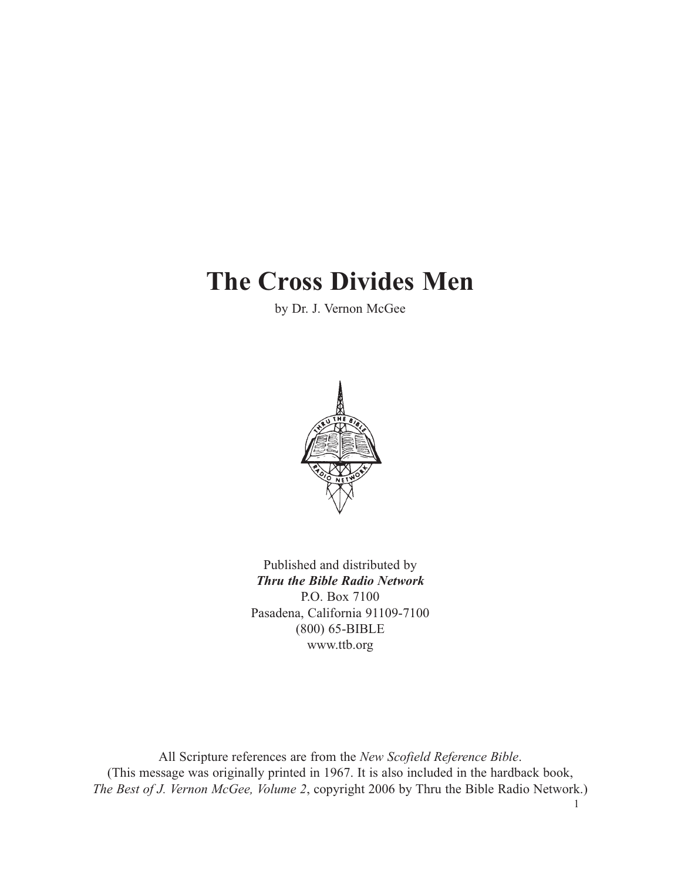# **The Cross Divides Men**

by Dr. J. Vernon McGee



Published and distributed by *Thru the Bible Radio Network* P.O. Box 7100 Pasadena, California 91109-7100 (800) 65-BIBLE www.ttb.org

All Scripture references are from the *New Scofield Reference Bible*. (This message was originally printed in 1967. It is also included in the hardback book, *The Best of J. Vernon McGee, Volume 2*, copyright 2006 by Thru the Bible Radio Network.)

1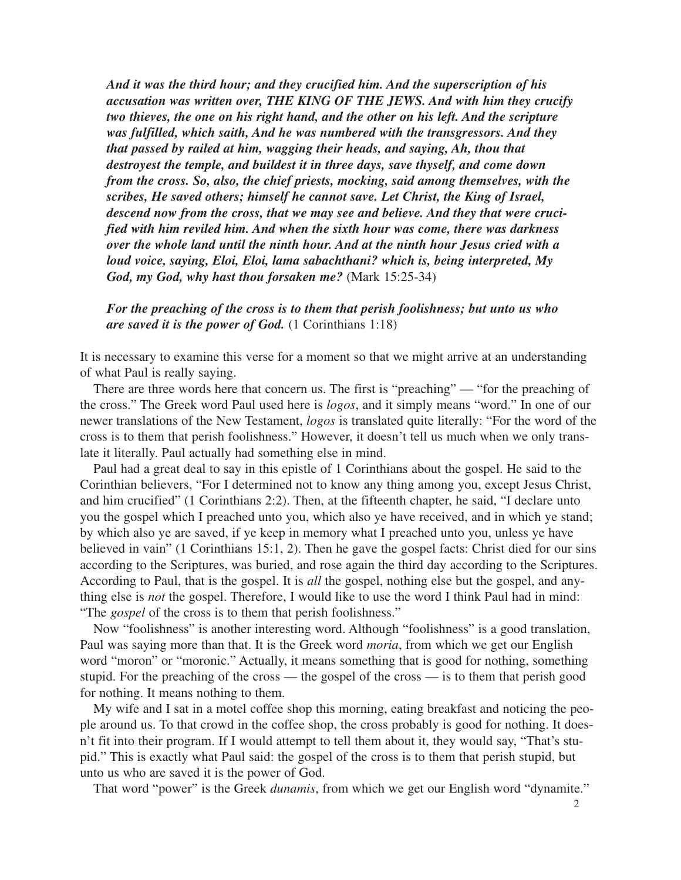*And it was the third hour; and they crucified him. And the superscription of his accusation was written over, THE KING OF THE JEWS. And with him they crucify two thieves, the one on his right hand, and the other on his left. And the scripture was fulfilled, which saith, And he was numbered with the transgressors. And they that passed by railed at him, wagging their heads, and saying, Ah, thou that destroyest the temple, and buildest it in three days, save thyself, and come down from the cross. So, also, the chief priests, mocking, said among themselves, with the scribes, He saved others; himself he cannot save. Let Christ, the King of Israel, descend now from the cross, that we may see and believe. And they that were crucified with him reviled him. And when the sixth hour was come, there was darkness over the whole land until the ninth hour. And at the ninth hour Jesus cried with a loud voice, saying, Eloi, Eloi, lama sabachthani? which is, being interpreted, My God, my God, why hast thou forsaken me?* (Mark 15:25-34)

*For the preaching of the cross is to them that perish foolishness; but unto us who are saved it is the power of God.* (1 Corinthians 1:18)

It is necessary to examine this verse for a moment so that we might arrive at an understanding of what Paul is really saying.

There are three words here that concern us. The first is "preaching" — "for the preaching of the cross." The Greek word Paul used here is *logos*, and it simply means "word." In one of our newer translations of the New Testament, *logos* is translated quite literally: "For the word of the cross is to them that perish foolishness." However, it doesn't tell us much when we only translate it literally. Paul actually had something else in mind.

Paul had a great deal to say in this epistle of 1 Corinthians about the gospel. He said to the Corinthian believers, "For I determined not to know any thing among you, except Jesus Christ, and him crucified" (1 Corinthians 2:2). Then, at the fifteenth chapter, he said, "I declare unto you the gospel which I preached unto you, which also ye have received, and in which ye stand; by which also ye are saved, if ye keep in memory what I preached unto you, unless ye have believed in vain" (1 Corinthians 15:1, 2). Then he gave the gospel facts: Christ died for our sins according to the Scriptures, was buried, and rose again the third day according to the Scriptures. According to Paul, that is the gospel. It is *all* the gospel, nothing else but the gospel, and anything else is *not* the gospel. Therefore, I would like to use the word I think Paul had in mind: "The *gospel* of the cross is to them that perish foolishness."

Now "foolishness" is another interesting word. Although "foolishness" is a good translation, Paul was saying more than that. It is the Greek word *moria*, from which we get our English word "moron" or "moronic." Actually, it means something that is good for nothing, something stupid. For the preaching of the cross — the gospel of the cross — is to them that perish good for nothing. It means nothing to them.

My wife and I sat in a motel coffee shop this morning, eating breakfast and noticing the people around us. To that crowd in the coffee shop, the cross probably is good for nothing. It doesn't fit into their program. If I would attempt to tell them about it, they would say, "That's stupid." This is exactly what Paul said: the gospel of the cross is to them that perish stupid, but unto us who are saved it is the power of God.

That word "power" is the Greek *dunamis*, from which we get our English word "dynamite."

 $\mathfrak{D}$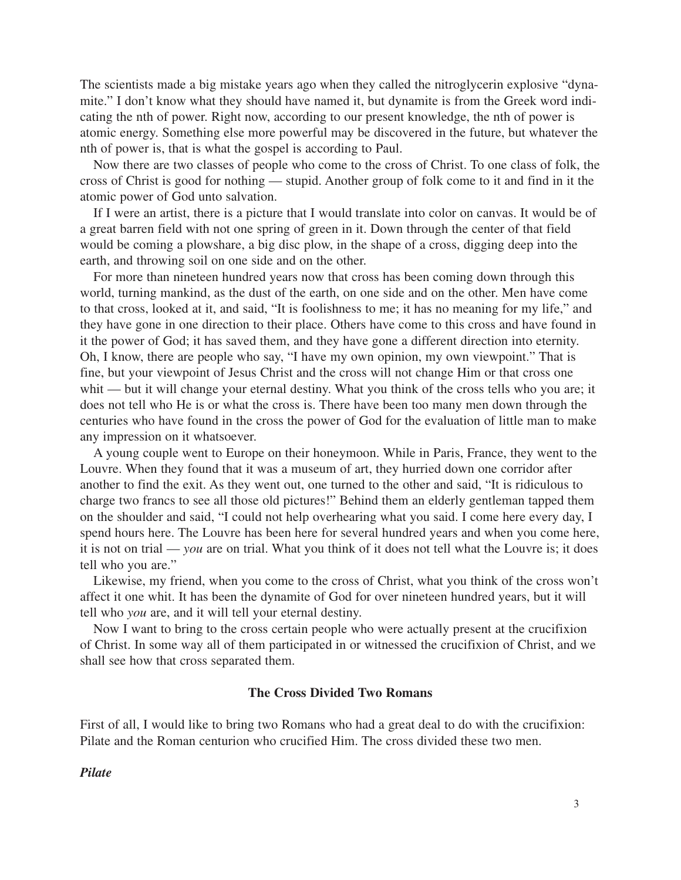The scientists made a big mistake years ago when they called the nitroglycerin explosive "dynamite." I don't know what they should have named it, but dynamite is from the Greek word indicating the nth of power. Right now, according to our present knowledge, the nth of power is atomic energy. Something else more powerful may be discovered in the future, but whatever the nth of power is, that is what the gospel is according to Paul.

Now there are two classes of people who come to the cross of Christ. To one class of folk, the cross of Christ is good for nothing — stupid. Another group of folk come to it and find in it the atomic power of God unto salvation.

If I were an artist, there is a picture that I would translate into color on canvas. It would be of a great barren field with not one spring of green in it. Down through the center of that field would be coming a plowshare, a big disc plow, in the shape of a cross, digging deep into the earth, and throwing soil on one side and on the other.

For more than nineteen hundred years now that cross has been coming down through this world, turning mankind, as the dust of the earth, on one side and on the other. Men have come to that cross, looked at it, and said, "It is foolishness to me; it has no meaning for my life," and they have gone in one direction to their place. Others have come to this cross and have found in it the power of God; it has saved them, and they have gone a different direction into eternity. Oh, I know, there are people who say, "I have my own opinion, my own viewpoint." That is fine, but your viewpoint of Jesus Christ and the cross will not change Him or that cross one whit — but it will change your eternal destiny. What you think of the cross tells who you are; it does not tell who He is or what the cross is. There have been too many men down through the centuries who have found in the cross the power of God for the evaluation of little man to make any impression on it whatsoever.

A young couple went to Europe on their honeymoon. While in Paris, France, they went to the Louvre. When they found that it was a museum of art, they hurried down one corridor after another to find the exit. As they went out, one turned to the other and said, "It is ridiculous to charge two francs to see all those old pictures!" Behind them an elderly gentleman tapped them on the shoulder and said, "I could not help overhearing what you said. I come here every day, I spend hours here. The Louvre has been here for several hundred years and when you come here, it is not on trial — *you* are on trial. What you think of it does not tell what the Louvre is; it does tell who you are."

Likewise, my friend, when you come to the cross of Christ, what you think of the cross won't affect it one whit. It has been the dynamite of God for over nineteen hundred years, but it will tell who *you* are, and it will tell your eternal destiny.

Now I want to bring to the cross certain people who were actually present at the crucifixion of Christ. In some way all of them participated in or witnessed the crucifixion of Christ, and we shall see how that cross separated them.

#### **The Cross Divided Two Romans**

First of all, I would like to bring two Romans who had a great deal to do with the crucifixion: Pilate and the Roman centurion who crucified Him. The cross divided these two men.

#### *Pilate*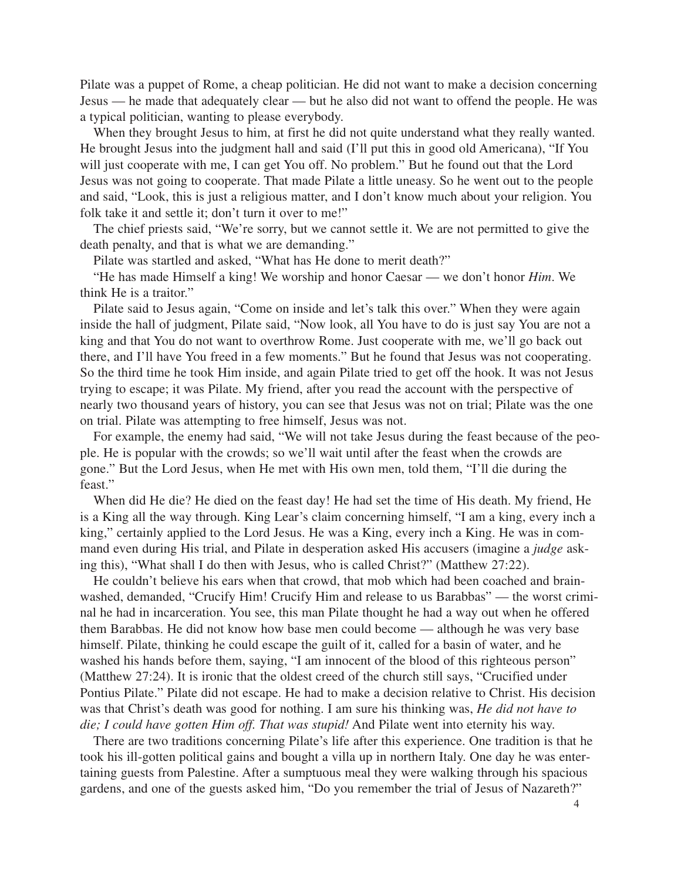Pilate was a puppet of Rome, a cheap politician. He did not want to make a decision concerning Jesus — he made that adequately clear — but he also did not want to offend the people. He was a typical politician, wanting to please everybody.

When they brought Jesus to him, at first he did not quite understand what they really wanted. He brought Jesus into the judgment hall and said (I'll put this in good old Americana), "If You will just cooperate with me, I can get You off. No problem." But he found out that the Lord Jesus was not going to cooperate. That made Pilate a little uneasy. So he went out to the people and said, "Look, this is just a religious matter, and I don't know much about your religion. You folk take it and settle it; don't turn it over to me!"

The chief priests said, "We're sorry, but we cannot settle it. We are not permitted to give the death penalty, and that is what we are demanding."

Pilate was startled and asked, "What has He done to merit death?"

"He has made Himself a king! We worship and honor Caesar — we don't honor *Him*. We think He is a traitor."

Pilate said to Jesus again, "Come on inside and let's talk this over." When they were again inside the hall of judgment, Pilate said, "Now look, all You have to do is just say You are not a king and that You do not want to overthrow Rome. Just cooperate with me, we'll go back out there, and I'll have You freed in a few moments." But he found that Jesus was not cooperating. So the third time he took Him inside, and again Pilate tried to get off the hook. It was not Jesus trying to escape; it was Pilate. My friend, after you read the account with the perspective of nearly two thousand years of history, you can see that Jesus was not on trial; Pilate was the one on trial. Pilate was attempting to free himself, Jesus was not.

For example, the enemy had said, "We will not take Jesus during the feast because of the people. He is popular with the crowds; so we'll wait until after the feast when the crowds are gone." But the Lord Jesus, when He met with His own men, told them, "I'll die during the feast."

When did He die? He died on the feast day! He had set the time of His death. My friend, He is a King all the way through. King Lear's claim concerning himself, "I am a king, every inch a king," certainly applied to the Lord Jesus. He was a King, every inch a King. He was in command even during His trial, and Pilate in desperation asked His accusers (imagine a *judge* asking this), "What shall I do then with Jesus, who is called Christ?" (Matthew 27:22).

He couldn't believe his ears when that crowd, that mob which had been coached and brainwashed, demanded, "Crucify Him! Crucify Him and release to us Barabbas" — the worst criminal he had in incarceration. You see, this man Pilate thought he had a way out when he offered them Barabbas. He did not know how base men could become — although he was very base himself. Pilate, thinking he could escape the guilt of it, called for a basin of water, and he washed his hands before them, saying, "I am innocent of the blood of this righteous person" (Matthew 27:24). It is ironic that the oldest creed of the church still says, "Crucified under Pontius Pilate." Pilate did not escape. He had to make a decision relative to Christ. His decision was that Christ's death was good for nothing. I am sure his thinking was, *He did not have to die; I could have gotten Him off. That was stupid!* And Pilate went into eternity his way.

There are two traditions concerning Pilate's life after this experience. One tradition is that he took his ill-gotten political gains and bought a villa up in northern Italy. One day he was entertaining guests from Palestine. After a sumptuous meal they were walking through his spacious gardens, and one of the guests asked him, "Do you remember the trial of Jesus of Nazareth?"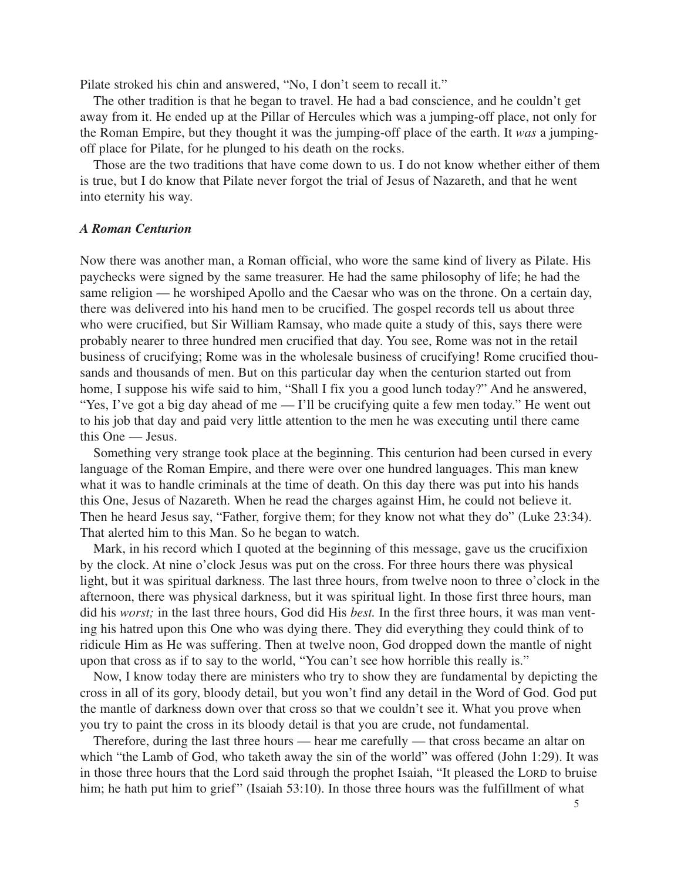Pilate stroked his chin and answered, "No, I don't seem to recall it."

The other tradition is that he began to travel. He had a bad conscience, and he couldn't get away from it. He ended up at the Pillar of Hercules which was a jumping-off place, not only for the Roman Empire, but they thought it was the jumping-off place of the earth. It *was* a jumpingoff place for Pilate, for he plunged to his death on the rocks.

Those are the two traditions that have come down to us. I do not know whether either of them is true, but I do know that Pilate never forgot the trial of Jesus of Nazareth, and that he went into eternity his way.

### *A Roman Centurion*

Now there was another man, a Roman official, who wore the same kind of livery as Pilate. His paychecks were signed by the same treasurer. He had the same philosophy of life; he had the same religion — he worshiped Apollo and the Caesar who was on the throne. On a certain day, there was delivered into his hand men to be crucified. The gospel records tell us about three who were crucified, but Sir William Ramsay, who made quite a study of this, says there were probably nearer to three hundred men crucified that day. You see, Rome was not in the retail business of crucifying; Rome was in the wholesale business of crucifying! Rome crucified thousands and thousands of men. But on this particular day when the centurion started out from home, I suppose his wife said to him, "Shall I fix you a good lunch today?" And he answered, "Yes, I've got a big day ahead of me — I'll be crucifying quite a few men today." He went out to his job that day and paid very little attention to the men he was executing until there came this One — Jesus.

Something very strange took place at the beginning. This centurion had been cursed in every language of the Roman Empire, and there were over one hundred languages. This man knew what it was to handle criminals at the time of death. On this day there was put into his hands this One, Jesus of Nazareth. When he read the charges against Him, he could not believe it. Then he heard Jesus say, "Father, forgive them; for they know not what they do" (Luke 23:34). That alerted him to this Man. So he began to watch.

Mark, in his record which I quoted at the beginning of this message, gave us the crucifixion by the clock. At nine o'clock Jesus was put on the cross. For three hours there was physical light, but it was spiritual darkness. The last three hours, from twelve noon to three o'clock in the afternoon, there was physical darkness, but it was spiritual light. In those first three hours, man did his *worst;* in the last three hours, God did His *best.* In the first three hours, it was man venting his hatred upon this One who was dying there. They did everything they could think of to ridicule Him as He was suffering. Then at twelve noon, God dropped down the mantle of night upon that cross as if to say to the world, "You can't see how horrible this really is."

Now, I know today there are ministers who try to show they are fundamental by depicting the cross in all of its gory, bloody detail, but you won't find any detail in the Word of God. God put the mantle of darkness down over that cross so that we couldn't see it. What you prove when you try to paint the cross in its bloody detail is that you are crude, not fundamental.

Therefore, during the last three hours — hear me carefully — that cross became an altar on which "the Lamb of God, who taketh away the sin of the world" was offered (John 1:29). It was in those three hours that the Lord said through the prophet Isaiah, "It pleased the LORD to bruise him; he hath put him to grief" (Isaiah 53:10). In those three hours was the fulfillment of what

5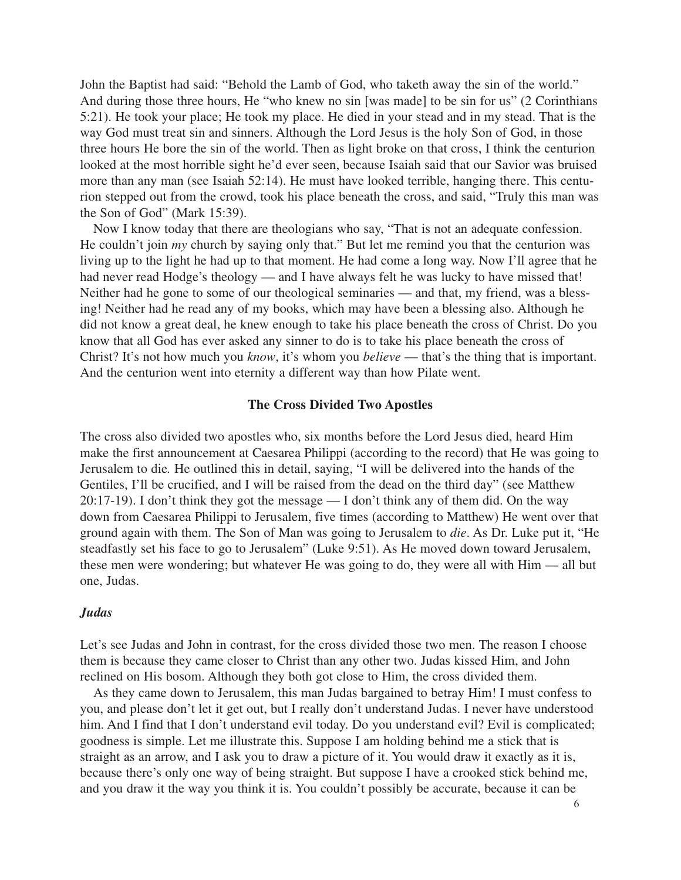John the Baptist had said: "Behold the Lamb of God, who taketh away the sin of the world." And during those three hours, He "who knew no sin [was made] to be sin for us" (2 Corinthians 5:21). He took your place; He took my place. He died in your stead and in my stead. That is the way God must treat sin and sinners. Although the Lord Jesus is the holy Son of God, in those three hours He bore the sin of the world. Then as light broke on that cross, I think the centurion looked at the most horrible sight he'd ever seen, because Isaiah said that our Savior was bruised more than any man (see Isaiah 52:14). He must have looked terrible, hanging there. This centurion stepped out from the crowd, took his place beneath the cross, and said, "Truly this man was the Son of God" (Mark 15:39).

Now I know today that there are theologians who say, "That is not an adequate confession. He couldn't join *my* church by saying only that." But let me remind you that the centurion was living up to the light he had up to that moment. He had come a long way. Now I'll agree that he had never read Hodge's theology — and I have always felt he was lucky to have missed that! Neither had he gone to some of our theological seminaries — and that, my friend, was a blessing! Neither had he read any of my books, which may have been a blessing also. Although he did not know a great deal, he knew enough to take his place beneath the cross of Christ. Do you know that all God has ever asked any sinner to do is to take his place beneath the cross of Christ? It's not how much you *know*, it's whom you *believe* — that's the thing that is important. And the centurion went into eternity a different way than how Pilate went.

#### **The Cross Divided Two Apostles**

The cross also divided two apostles who, six months before the Lord Jesus died, heard Him make the first announcement at Caesarea Philippi (according to the record) that He was going to Jerusalem to die*.* He outlined this in detail, saying, "I will be delivered into the hands of the Gentiles, I'll be crucified, and I will be raised from the dead on the third day" (see Matthew 20:17-19). I don't think they got the message — I don't think any of them did. On the way down from Caesarea Philippi to Jerusalem, five times (according to Matthew) He went over that ground again with them. The Son of Man was going to Jerusalem to *die*. As Dr. Luke put it, "He steadfastly set his face to go to Jerusalem" (Luke 9:51). As He moved down toward Jerusalem, these men were wondering; but whatever He was going to do, they were all with Him — all but one, Judas.

#### *Judas*

Let's see Judas and John in contrast, for the cross divided those two men. The reason I choose them is because they came closer to Christ than any other two. Judas kissed Him, and John reclined on His bosom. Although they both got close to Him, the cross divided them.

As they came down to Jerusalem, this man Judas bargained to betray Him! I must confess to you, and please don't let it get out, but I really don't understand Judas. I never have understood him. And I find that I don't understand evil today. Do you understand evil? Evil is complicated; goodness is simple. Let me illustrate this. Suppose I am holding behind me a stick that is straight as an arrow, and I ask you to draw a picture of it. You would draw it exactly as it is, because there's only one way of being straight. But suppose I have a crooked stick behind me, and you draw it the way you think it is. You couldn't possibly be accurate, because it can be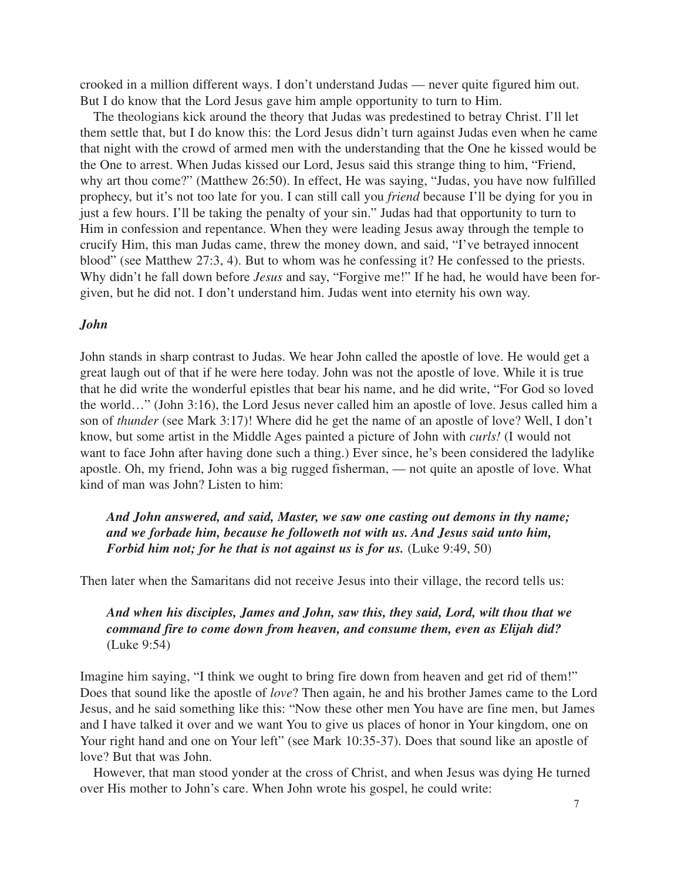crooked in a million different ways. I don't understand Judas — never quite figured him out. But I do know that the Lord Jesus gave him ample opportunity to turn to Him.

The theologians kick around the theory that Judas was predestined to betray Christ. I'll let them settle that, but I do know this: the Lord Jesus didn't turn against Judas even when he came that night with the crowd of armed men with the understanding that the One he kissed would be the One to arrest. When Judas kissed our Lord, Jesus said this strange thing to him, "Friend, why art thou come?" (Matthew 26:50). In effect, He was saying, "Judas, you have now fulfilled prophecy, but it's not too late for you. I can still call you *friend* because I'll be dying for you in just a few hours. I'll be taking the penalty of your sin." Judas had that opportunity to turn to Him in confession and repentance. When they were leading Jesus away through the temple to crucify Him, this man Judas came, threw the money down, and said, "I've betrayed innocent blood" (see Matthew 27:3, 4). But to whom was he confessing it? He confessed to the priests. Why didn't he fall down before *Jesus* and say, "Forgive me!" If he had, he would have been forgiven, but he did not. I don't understand him. Judas went into eternity his own way.

#### *John*

John stands in sharp contrast to Judas. We hear John called the apostle of love. He would get a great laugh out of that if he were here today. John was not the apostle of love. While it is true that he did write the wonderful epistles that bear his name, and he did write, "For God so loved the world…" (John 3:16), the Lord Jesus never called him an apostle of love. Jesus called him a son of *thunder* (see Mark 3:17)! Where did he get the name of an apostle of love? Well, I don't know, but some artist in the Middle Ages painted a picture of John with *curls!* (I would not want to face John after having done such a thing.) Ever since, he's been considered the ladylike apostle. Oh, my friend, John was a big rugged fisherman, — not quite an apostle of love. What kind of man was John? Listen to him:

*And John answered, and said, Master, we saw one casting out demons in thy name; and we forbade him, because he followeth not with us. And Jesus said unto him, Forbid him not; for he that is not against us is for us.* (Luke 9:49, 50)

Then later when the Samaritans did not receive Jesus into their village, the record tells us:

# *And when his disciples, James and John, saw this, they said, Lord, wilt thou that we command fire to come down from heaven, and consume them, even as Elijah did?* (Luke 9:54)

Imagine him saying, "I think we ought to bring fire down from heaven and get rid of them!" Does that sound like the apostle of *love*? Then again, he and his brother James came to the Lord Jesus, and he said something like this: "Now these other men You have are fine men, but James and I have talked it over and we want You to give us places of honor in Your kingdom, one on Your right hand and one on Your left" (see Mark 10:35-37). Does that sound like an apostle of love? But that was John.

However, that man stood yonder at the cross of Christ, and when Jesus was dying He turned over His mother to John's care. When John wrote his gospel, he could write: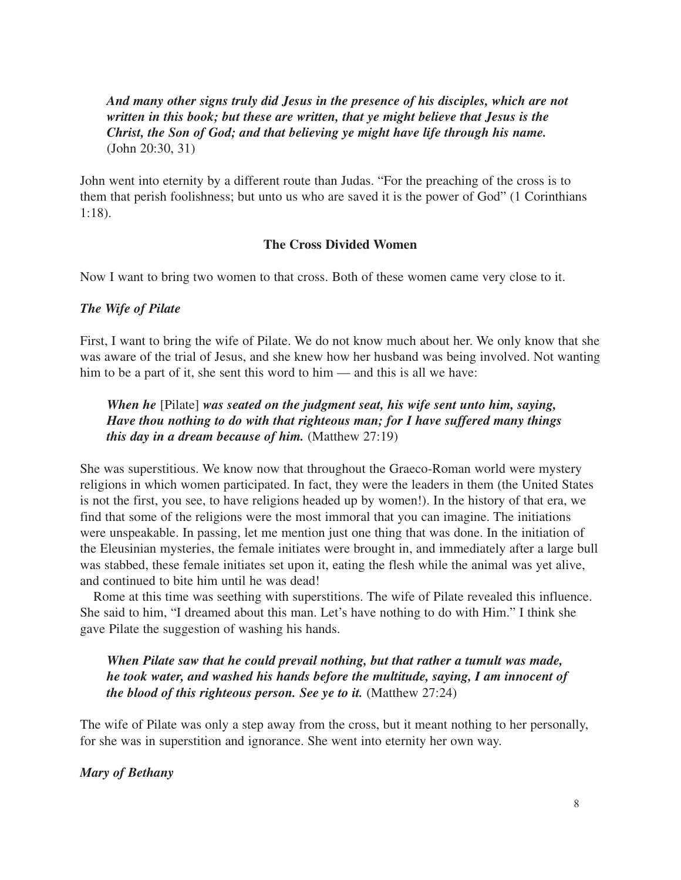*And many other signs truly did Jesus in the presence of his disciples, which are not written in this book; but these are written, that ye might believe that Jesus is the Christ, the Son of God; and that believing ye might have life through his name.* (John 20:30, 31)

John went into eternity by a different route than Judas. "For the preaching of the cross is to them that perish foolishness; but unto us who are saved it is the power of God" (1 Corinthians 1:18).

## **The Cross Divided Women**

Now I want to bring two women to that cross. Both of these women came very close to it.

#### *The Wife of Pilate*

First, I want to bring the wife of Pilate. We do not know much about her. We only know that she was aware of the trial of Jesus, and she knew how her husband was being involved. Not wanting him to be a part of it, she sent this word to him — and this is all we have:

*When he* [Pilate] *was seated on the judgment seat, his wife sent unto him, saying, Have thou nothing to do with that righteous man; for I have suffered many things this day in a dream because of him.* (Matthew 27:19)

She was superstitious. We know now that throughout the Graeco-Roman world were mystery religions in which women participated. In fact, they were the leaders in them (the United States is not the first, you see, to have religions headed up by women!). In the history of that era, we find that some of the religions were the most immoral that you can imagine. The initiations were unspeakable. In passing, let me mention just one thing that was done. In the initiation of the Eleusinian mysteries, the female initiates were brought in, and immediately after a large bull was stabbed, these female initiates set upon it, eating the flesh while the animal was yet alive, and continued to bite him until he was dead!

Rome at this time was seething with superstitions. The wife of Pilate revealed this influence. She said to him, "I dreamed about this man. Let's have nothing to do with Him." I think she gave Pilate the suggestion of washing his hands.

*When Pilate saw that he could prevail nothing, but that rather a tumult was made, he took water, and washed his hands before the multitude, saying, I am innocent of the blood of this righteous person. See ye to it.* (Matthew 27:24)

The wife of Pilate was only a step away from the cross, but it meant nothing to her personally, for she was in superstition and ignorance. She went into eternity her own way.

## *Mary of Bethany*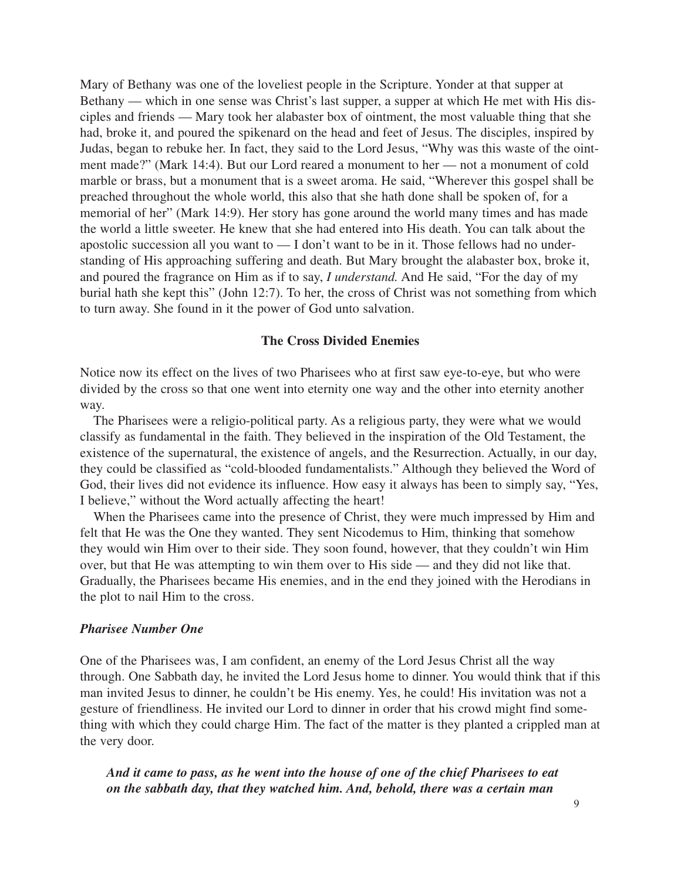Mary of Bethany was one of the loveliest people in the Scripture. Yonder at that supper at Bethany — which in one sense was Christ's last supper, a supper at which He met with His disciples and friends — Mary took her alabaster box of ointment, the most valuable thing that she had, broke it, and poured the spikenard on the head and feet of Jesus. The disciples, inspired by Judas, began to rebuke her. In fact, they said to the Lord Jesus, "Why was this waste of the ointment made?" (Mark 14:4). But our Lord reared a monument to her — not a monument of cold marble or brass, but a monument that is a sweet aroma. He said, "Wherever this gospel shall be preached throughout the whole world, this also that she hath done shall be spoken of, for a memorial of her" (Mark 14:9). Her story has gone around the world many times and has made the world a little sweeter. He knew that she had entered into His death. You can talk about the apostolic succession all you want to — I don't want to be in it. Those fellows had no understanding of His approaching suffering and death. But Mary brought the alabaster box, broke it, and poured the fragrance on Him as if to say, *I understand.* And He said, "For the day of my burial hath she kept this" (John 12:7). To her, the cross of Christ was not something from which to turn away. She found in it the power of God unto salvation.

#### **The Cross Divided Enemies**

Notice now its effect on the lives of two Pharisees who at first saw eye-to-eye, but who were divided by the cross so that one went into eternity one way and the other into eternity another way.

The Pharisees were a religio-political party. As a religious party, they were what we would classify as fundamental in the faith. They believed in the inspiration of the Old Testament, the existence of the supernatural, the existence of angels, and the Resurrection. Actually, in our day, they could be classified as "cold-blooded fundamentalists." Although they believed the Word of God, their lives did not evidence its influence. How easy it always has been to simply say, "Yes, I believe," without the Word actually affecting the heart!

When the Pharisees came into the presence of Christ, they were much impressed by Him and felt that He was the One they wanted. They sent Nicodemus to Him, thinking that somehow they would win Him over to their side. They soon found, however, that they couldn't win Him over, but that He was attempting to win them over to His side — and they did not like that. Gradually, the Pharisees became His enemies, and in the end they joined with the Herodians in the plot to nail Him to the cross.

#### *Pharisee Number One*

One of the Pharisees was, I am confident, an enemy of the Lord Jesus Christ all the way through. One Sabbath day, he invited the Lord Jesus home to dinner. You would think that if this man invited Jesus to dinner, he couldn't be His enemy. Yes, he could! His invitation was not a gesture of friendliness. He invited our Lord to dinner in order that his crowd might find something with which they could charge Him. The fact of the matter is they planted a crippled man at the very door.

*And it came to pass, as he went into the house of one of the chief Pharisees to eat on the sabbath day, that they watched him. And, behold, there was a certain man*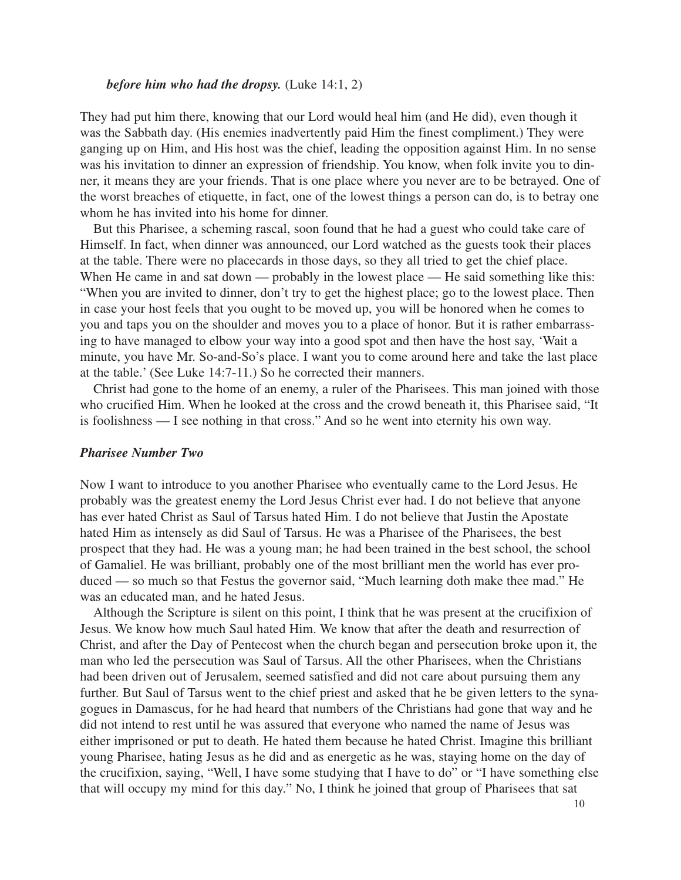### *before him who had the dropsy.* (Luke 14:1, 2)

They had put him there, knowing that our Lord would heal him (and He did), even though it was the Sabbath day. (His enemies inadvertently paid Him the finest compliment.) They were ganging up on Him, and His host was the chief, leading the opposition against Him. In no sense was his invitation to dinner an expression of friendship. You know, when folk invite you to dinner, it means they are your friends. That is one place where you never are to be betrayed. One of the worst breaches of etiquette, in fact, one of the lowest things a person can do, is to betray one whom he has invited into his home for dinner.

But this Pharisee, a scheming rascal, soon found that he had a guest who could take care of Himself. In fact, when dinner was announced, our Lord watched as the guests took their places at the table. There were no placecards in those days, so they all tried to get the chief place. When He came in and sat down — probably in the lowest place — He said something like this: "When you are invited to dinner, don't try to get the highest place; go to the lowest place. Then in case your host feels that you ought to be moved up, you will be honored when he comes to you and taps you on the shoulder and moves you to a place of honor. But it is rather embarrassing to have managed to elbow your way into a good spot and then have the host say, 'Wait a minute, you have Mr. So-and-So's place. I want you to come around here and take the last place at the table.' (See Luke 14:7-11.) So he corrected their manners.

Christ had gone to the home of an enemy, a ruler of the Pharisees. This man joined with those who crucified Him. When he looked at the cross and the crowd beneath it, this Pharisee said, "It is foolishness — I see nothing in that cross." And so he went into eternity his own way.

#### *Pharisee Number Two*

Now I want to introduce to you another Pharisee who eventually came to the Lord Jesus. He probably was the greatest enemy the Lord Jesus Christ ever had. I do not believe that anyone has ever hated Christ as Saul of Tarsus hated Him. I do not believe that Justin the Apostate hated Him as intensely as did Saul of Tarsus. He was a Pharisee of the Pharisees, the best prospect that they had. He was a young man; he had been trained in the best school, the school of Gamaliel. He was brilliant, probably one of the most brilliant men the world has ever produced — so much so that Festus the governor said, "Much learning doth make thee mad." He was an educated man, and he hated Jesus.

Although the Scripture is silent on this point, I think that he was present at the crucifixion of Jesus. We know how much Saul hated Him. We know that after the death and resurrection of Christ, and after the Day of Pentecost when the church began and persecution broke upon it, the man who led the persecution was Saul of Tarsus. All the other Pharisees, when the Christians had been driven out of Jerusalem, seemed satisfied and did not care about pursuing them any further. But Saul of Tarsus went to the chief priest and asked that he be given letters to the synagogues in Damascus, for he had heard that numbers of the Christians had gone that way and he did not intend to rest until he was assured that everyone who named the name of Jesus was either imprisoned or put to death. He hated them because he hated Christ. Imagine this brilliant young Pharisee, hating Jesus as he did and as energetic as he was, staying home on the day of the crucifixion, saying, "Well, I have some studying that I have to do" or "I have something else that will occupy my mind for this day." No, I think he joined that group of Pharisees that sat

10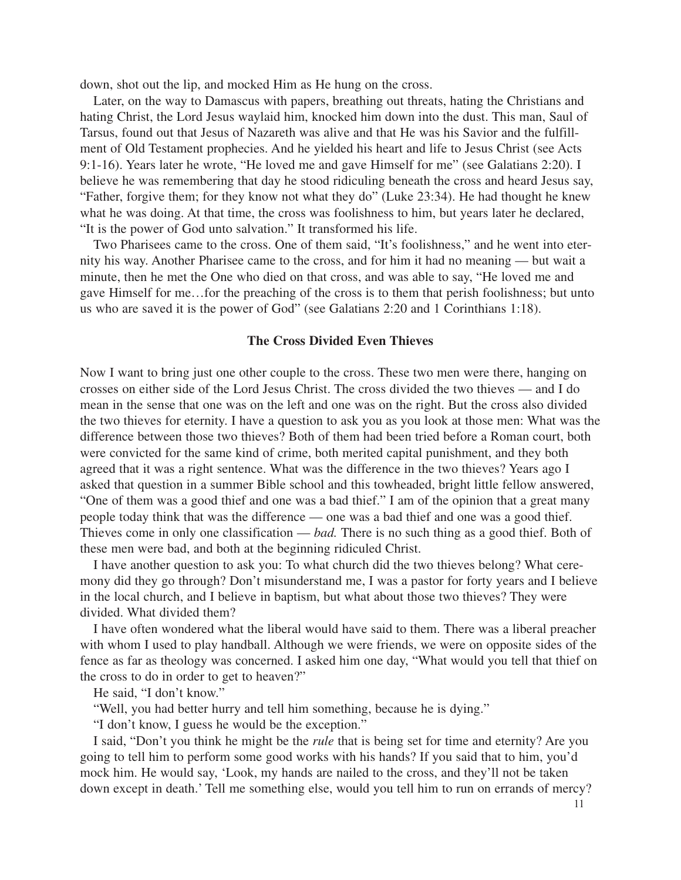down, shot out the lip, and mocked Him as He hung on the cross.

Later, on the way to Damascus with papers, breathing out threats, hating the Christians and hating Christ, the Lord Jesus waylaid him, knocked him down into the dust. This man, Saul of Tarsus, found out that Jesus of Nazareth was alive and that He was his Savior and the fulfillment of Old Testament prophecies. And he yielded his heart and life to Jesus Christ (see Acts 9:1-16). Years later he wrote, "He loved me and gave Himself for me" (see Galatians 2:20). I believe he was remembering that day he stood ridiculing beneath the cross and heard Jesus say, "Father, forgive them; for they know not what they do" (Luke 23:34). He had thought he knew what he was doing. At that time, the cross was foolishness to him, but years later he declared, "It is the power of God unto salvation." It transformed his life.

Two Pharisees came to the cross. One of them said, "It's foolishness," and he went into eternity his way. Another Pharisee came to the cross, and for him it had no meaning — but wait a minute, then he met the One who died on that cross, and was able to say, "He loved me and gave Himself for me…for the preaching of the cross is to them that perish foolishness; but unto us who are saved it is the power of God" (see Galatians 2:20 and 1 Corinthians 1:18).

#### **The Cross Divided Even Thieves**

Now I want to bring just one other couple to the cross. These two men were there, hanging on crosses on either side of the Lord Jesus Christ. The cross divided the two thieves — and I do mean in the sense that one was on the left and one was on the right. But the cross also divided the two thieves for eternity. I have a question to ask you as you look at those men: What was the difference between those two thieves? Both of them had been tried before a Roman court, both were convicted for the same kind of crime, both merited capital punishment, and they both agreed that it was a right sentence. What was the difference in the two thieves? Years ago I asked that question in a summer Bible school and this towheaded, bright little fellow answered, "One of them was a good thief and one was a bad thief." I am of the opinion that a great many people today think that was the difference — one was a bad thief and one was a good thief. Thieves come in only one classification — *bad.* There is no such thing as a good thief. Both of these men were bad, and both at the beginning ridiculed Christ.

I have another question to ask you: To what church did the two thieves belong? What ceremony did they go through? Don't misunderstand me, I was a pastor for forty years and I believe in the local church, and I believe in baptism, but what about those two thieves? They were divided. What divided them?

I have often wondered what the liberal would have said to them. There was a liberal preacher with whom I used to play handball. Although we were friends, we were on opposite sides of the fence as far as theology was concerned. I asked him one day, "What would you tell that thief on the cross to do in order to get to heaven?"

He said, "I don't know."

"Well, you had better hurry and tell him something, because he is dying."

"I don't know, I guess he would be the exception."

I said, "Don't you think he might be the *rule* that is being set for time and eternity? Are you going to tell him to perform some good works with his hands? If you said that to him, you'd mock him. He would say, 'Look, my hands are nailed to the cross, and they'll not be taken down except in death.' Tell me something else, would you tell him to run on errands of mercy?